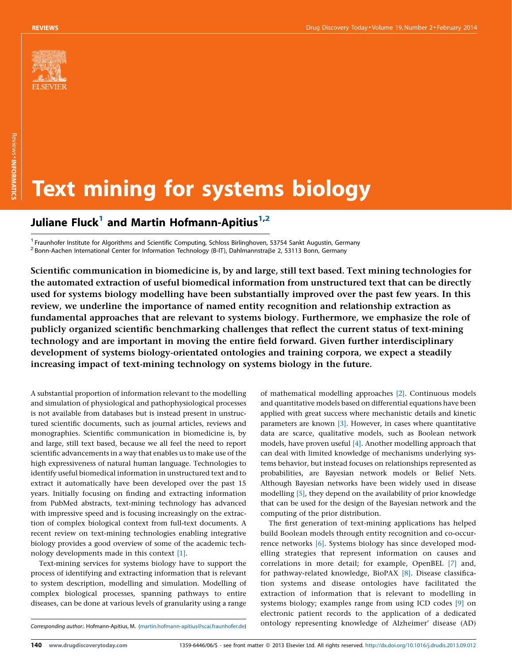

# Text mining for systems biology

# Juliane Fluck<sup>1</sup> and Martin Hofmann-Apitius<sup>1,2</sup>

<sup>1</sup> Fraunhofer Institute for Algorithms and Scientific Computing, Schloss Birlinghoven, 53754 Sankt Augustin, Germany<br><sup>2</sup> Bonn-Aachen International Center for Information Technology (B-IT), Dahlmannstraße 2, 53113 Bonn, G

Scientific communication in biomedicine is, by and large, still text based. Text mining technologies for the automated extraction of useful biomedical information from unstructured text that can be directly used for systems biology modelling have been substantially improved over the past few years. In this review, we underline the importance of named entity recognition and relationship extraction as fundamental approaches that are relevant to systems biology. Furthermore, we emphasize the role of publicly organized scientific benchmarking challenges that reflect the current status of text-mining technology and are important in moving the entire field forward. Given further interdisciplinary development of systems biology-orientated ontologies and training corpora, we expect a steadily increasing impact of text-mining technology on systems biology in the future.

A substantial proportion of information relevant to the modelling and simulation of physiological and pathophysiological processes is not available from databases but is instead present in unstructured scientific documents, such as journal articles, reviews and monographies. Scientific communication in biomedicine is, by and large, still text based, because we all feel the need to report scientific advancements in a way that enables us to make use of the high expressiveness of natural human language. Technologies to identify useful biomedical information in unstructured text and to extract it automatically have been developed over the past 15 years. Initially focusing on finding and extracting information from PubMed abstracts, text-mining technology has advanced with impressive speed and is focusing increasingly on the extraction of complex biological context from full-text documents. A recent review on text-mining technologies enabling integrative biology provides a good overview of some of the academic technology developments made in this context [\[1\]](#page-3-0).

Text-mining services for systems biology have to support the process of identifying and extracting information that is relevant to system description, modelling and simulation. Modelling of complex biological processes, spanning pathways to entire diseases, can be done at various levels of granularity using a range

of mathematical modelling approaches [\[2\]](#page-3-0). Continuous models and quantitative models based on differential equations have been applied with great success where mechanistic details and kinetic parameters are known [\[3\]](#page-3-0). However, in cases where quantitative data are scarce, qualitative models, such as Boolean network models, have proven useful [\[4\]](#page-3-0). Another modelling approach that can deal with limited knowledge of mechanisms underlying systems behavior, but instead focuses on relationships represented as probabilities, are Bayesian network models or Belief Nets. Although Bayesian networks have been widely used in disease modelling [\[5\]](#page-4-0), they depend on the availability of prior knowledge that can be used for the design of the Bayesian network and the computing of the prior distribution.

The first generation of text-mining applications has helped build Boolean models through entity recognition and co-occurrence networks [\[6\]](#page-4-0). Systems biology has since developed modelling strategies that represent information on causes and correlations in more detail; for example, OpenBEL [\[7\]](#page-4-0) and, for pathway-related knowledge, BioPAX [\[8\].](#page-4-0) Disease classification systems and disease ontologies have facilitated the extraction of information that is relevant to modelling in systems biology; examples range from using ICD codes [\[9\]](#page-4-0) on electronic patient records to the application of a dedicated ontology representing knowledge of Alzheimer' disease (AD)

Corresponding author:. Hofmann-Apitius, M. ([martin.hofmann-apitius@scai.fraunhofer.de\)](mailto:martin.hofmann-apitius@scai.fraunhofer.de)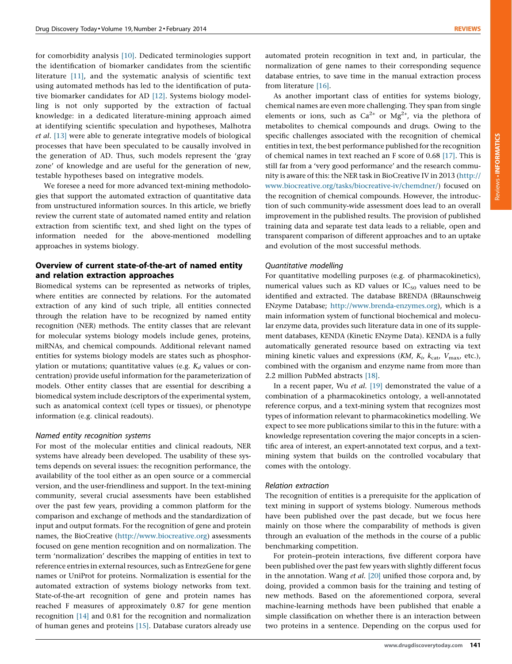for comorbidity analysis [\[10\]](#page-4-0). Dedicated terminologies support the identification of biomarker candidates from the scientific literature [\[11\]](#page-4-0), and the systematic analysis of scientific text using automated methods has led to the identification of putative biomarker candidates for AD [\[12\].](#page-4-0) Systems biology modelling is not only supported by the extraction of factual knowledge: in a dedicated literature-mining approach aimed at identifying scientific speculation and hypotheses, Malhotra et al. [\[13\]](#page-4-0) were able to generate integrative models of biological processes that have been speculated to be causally involved in the generation of AD. Thus, such models represent the 'gray zone' of knowledge and are useful for the generation of new, testable hypotheses based on integrative models.

We foresee a need for more advanced text-mining methodologies that support the automated extraction of quantitative data from unstructured information sources. In this article, we briefly review the current state of automated named entity and relation extraction from scientific text, and shed light on the types of information needed for the above-mentioned modelling approaches in systems biology.

# Overview of current state-of-the-art of named entity and relation extraction approaches

Biomedical systems can be represented as networks of triples, where entities are connected by relations. For the automated extraction of any kind of such triple, all entities connected through the relation have to be recognized by named entity recognition (NER) methods. The entity classes that are relevant for molecular systems biology models include genes, proteins, miRNAs, and chemical compounds. Additional relevant named entities for systems biology models are states such as phosphorylation or mutations; quantitative values (e.g.  $K_d$  values or concentration) provide useful information for the parameterization of models. Other entity classes that are essential for describing a biomedical system include descriptors of the experimental system, such as anatomical context (cell types or tissues), or phenotype information (e.g. clinical readouts).

#### Named entity recognition systems

For most of the molecular entities and clinical readouts, NER systems have already been developed. The usability of these systems depends on several issues: the recognition performance, the availability of the tool either as an open source or a commercial version, and the user-friendliness and support. In the text-mining community, several crucial assessments have been established over the past few years, providing a common platform for the comparison and exchange of methods and the standardization of input and output formats. For the recognition of gene and protein names, the BioCreative ([http://www.biocreative.org\)](http://www.biocreative.org/) assessments focused on gene mention recognition and on normalization. The term 'normalization' describes the mapping of entities in text to reference entries in external resources, such as EntrezGene for gene names or UniProt for proteins. Normalization is essential for the automated extraction of systems biology networks from text. State-of-the-art recognition of gene and protein names has reached F measures of approximately 0.87 for gene mention recognition [\[14\]](#page-4-0) and 0.81 for the recognition and normalization of human genes and proteins [\[15\]](#page-4-0). Database curators already use automated protein recognition in text and, in particular, the normalization of gene names to their corresponding sequence database entries, to save time in the manual extraction process from literature [\[16\].](#page-4-0)

As another important class of entities for systems biology, chemical names are even more challenging. They span from single elements or ions, such as  $Ca^{2+}$  or  $Mg^{2+}$ , via the plethora of metabolites to chemical compounds and drugs. Owing to the specific challenges associated with the recognition of chemical entities in text, the best performance published for the recognition of chemical names in text reached an F score of 0.68 [\[17\].](#page-4-0) This is still far from a 'very good performance' and the research community is aware of this: the NER task in BioCreative IV in 2013 [\(http://](http://www.biocreative.org/tasks/biocreative-iv/chemdner/) [www.biocreative.org/tasks/biocreative-iv/chemdner/](http://www.biocreative.org/tasks/biocreative-iv/chemdner/)) focused on the recognition of chemical compounds. However, the introduction of such community-wide assessment does lead to an overall improvement in the published results. The provision of published training data and separate test data leads to a reliable, open and transparent comparison of different approaches and to an uptake and evolution of the most successful methods.

#### Quantitative modelling

For quantitative modelling purposes (e.g. of pharmacokinetics), numerical values such as KD values or  $IC_{50}$  values need to be identified and extracted. The database BRENDA (BRaunschweig ENzyme Database; [http://www.brenda-enzymes.org\)](http://www.brenda-enzymes.org/), which is a main information system of functional biochemical and molecular enzyme data, provides such literature data in one of its supplement databases, KENDA (Kinetic ENzyme Data). KENDA is a fully automatically generated resource based on extracting via text mining kinetic values and expressions (KM,  $K_i$ ,  $K_{\text{cat}}$ ,  $V_{\text{max}}$ , etc.), combined with the organism and enzyme name from more than 2.2 million PubMed abstracts [\[18\]](#page-4-0).

In a recent paper, Wu et al. [\[19\]](#page-4-0) demonstrated the value of a combination of a pharmacokinetics ontology, a well-annotated reference corpus, and a text-mining system that recognizes most types of information relevant to pharmacokinetics modelling. We expect to see more publications similar to this in the future: with a knowledge representation covering the major concepts in a scientific area of interest, an expert-annotated text corpus, and a textmining system that builds on the controlled vocabulary that comes with the ontology.

### Relation extraction

The recognition of entities is a prerequisite for the application of text mining in support of systems biology. Numerous methods have been published over the past decade, but we focus here mainly on those where the comparability of methods is given through an evaluation of the methods in the course of a public benchmarking competition.

For protein–protein interactions, five different corpora have been published over the past few years with slightly different focus in the annotation. Wang et al. [\[20\]](#page-4-0) unified those corpora and, by doing, provided a common basis for the training and testing of new methods. Based on the aforementioned corpora, several machine-learning methods have been published that enable a simple classification on whether there is an interaction between two proteins in a sentence. Depending on the corpus used for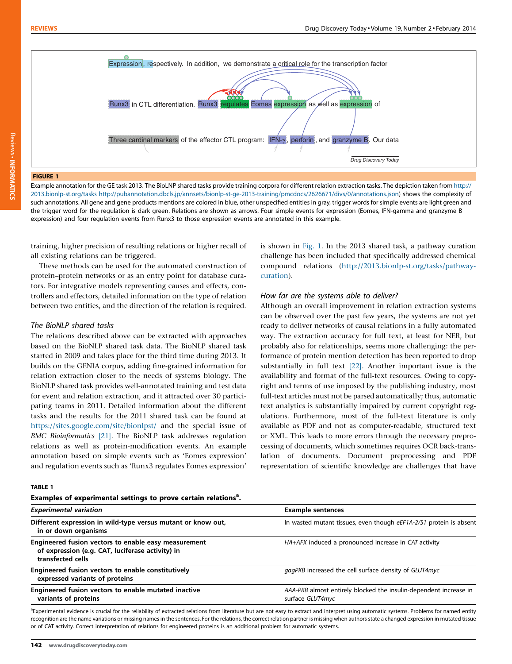<span id="page-2-0"></span>

#### FIGURE 1

Reviews -

INFORMATICS

Example annotation for the GE task 2013. The BioLNP shared tasks provide training corpora for different relation extraction tasks. The depiction taken from [http://](http://2013.bionlp-st.org/tasks) [2013.bionlp-st.org/tasks](http://2013.bionlp-st.org/tasks) <http://pubannotation.dbcls.jp/annsets/bionlp-st-ge-2013-training/pmcdocs/2626671/divs/0/annotations.json>) shows the complexity of such annotations. All gene and gene products mentions are colored in blue, other unspecified entities in gray, trigger words for simple events are light green and the trigger word for the regulation is dark green. Relations are shown as arrows. Four simple events for expression (Eomes, IFN-gamma and granzyme B expression) and four regulation events from Runx3 to those expression events are annotated in this example.

training, higher precision of resulting relations or higher recall of all existing relations can be triggered.

These methods can be used for the automated construction of protein–protein networks or as an entry point for database curators. For integrative models representing causes and effects, controllers and effectors, detailed information on the type of relation between two entities, and the direction of the relation is required.

#### The BioNLP shared tasks

The relations described above can be extracted with approaches based on the BioNLP shared task data. The BioNLP shared task started in 2009 and takes place for the third time during 2013. It builds on the GENIA corpus, adding fine-grained information for relation extraction closer to the needs of systems biology. The BioNLP shared task provides well-annotated training and test data for event and relation extraction, and it attracted over 30 participating teams in 2011. Detailed information about the different tasks and the results for the 2011 shared task can be found at <https://sites.google.com/site/bionlpst/> and the special issue of BMC Bioinformatics [\[21\]](#page-4-0). The BioNLP task addresses regulation relations as well as protein-modification events. An example annotation based on simple events such as 'Eomes expression' and regulation events such as 'Runx3 regulates Eomes expression'

is shown in Fig. 1. In the 2013 shared task, a pathway curation challenge has been included that specifically addressed chemical compound relations ([http://2013.bionlp-st.org/tasks/pathway](http://2013.bionlp-st.org/tasks/pathway-curation)[curation](http://2013.bionlp-st.org/tasks/pathway-curation)).

#### How far are the systems able to deliver?

Although an overall improvement in relation extraction systems can be observed over the past few years, the systems are not yet ready to deliver networks of causal relations in a fully automated way. The extraction accuracy for full text, at least for NER, but probably also for relationships, seems more challenging: the performance of protein mention detection has been reported to drop substantially in full text [\[22\]](#page-4-0). Another important issue is the availability and format of the full-text resources. Owing to copyright and terms of use imposed by the publishing industry, most full-text articles must not be parsed automatically; thus, automatic text analytics is substantially impaired by current copyright regulations. Furthermore, most of the full-text literature is only available as PDF and not as computer-readable, structured text or XML. This leads to more errors through the necessary preprocessing of documents, which sometimes requires OCR back-translation of documents. Document preprocessing and PDF representation of scientific knowledge are challenges that have

#### TABLE 1

| Examples of experimental settings to prove certain relations <sup>a</sup> .                                                   |                                                                                       |
|-------------------------------------------------------------------------------------------------------------------------------|---------------------------------------------------------------------------------------|
| <b>Experimental variation</b>                                                                                                 | <b>Example sentences</b>                                                              |
| Different expression in wild-type versus mutant or know out,<br>in or down organisms                                          | In wasted mutant tissues, even though eEF1A-2/S1 protein is absent                    |
| Engineered fusion vectors to enable easy measurement<br>of expression (e.g. CAT, luciferase activity) in<br>transfected cells | HA+AFX induced a pronounced increase in CAT activity                                  |
| Engineered fusion vectors to enable constitutively<br>expressed variants of proteins                                          | gagPKB increased the cell surface density of GLUT4myc                                 |
| Engineered fusion vectors to enable mutated inactive<br>variants of proteins                                                  | AAA-PKB almost entirely blocked the insulin-dependent increase in<br>surface GLUT4myc |

<sup>a</sup>Experimental evidence is crucial for the reliability of extracted relations from literature but are not easy to extract and interpret using automatic systems. Problems for named entity recognition are the name variations or missing names in the sentences. For the relations, the correct relation partner is missing when authors state a changed expression in mutated tissue or of CAT activity. Correct interpretation of relations for engineered proteins is an additional problem for automatic systems.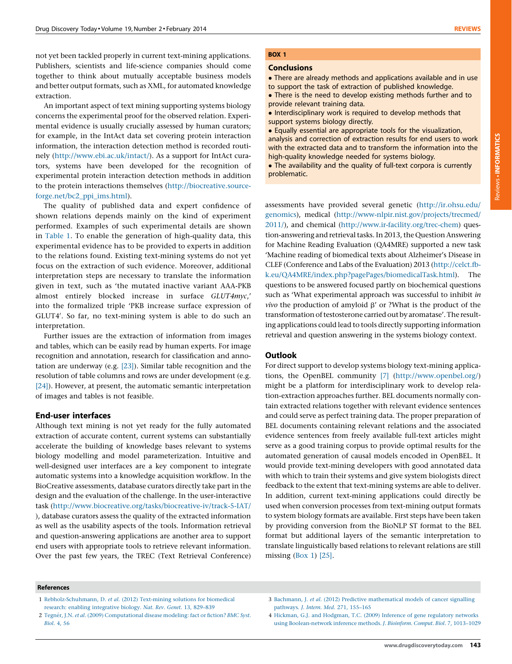<span id="page-3-0"></span>An important aspect of text mining supporting systems biology concerns the experimental proof for the observed relation. Experimental evidence is usually crucially assessed by human curators; for example, in the IntAct data set covering protein interaction information, the interaction detection method is recorded routinely [\(http://www.ebi.ac.uk/intact/\)](http://www.ebi.ac.uk/intact/). As a support for IntAct curators, systems have been developed for the recognition of experimental protein interaction detection methods in addition to the protein interactions themselves ([http://biocreative.source](http://biocreative.sourceforge.net/bc2_ppi_ims.html)[forge.net/bc2\\_ppi\\_ims.html\)](http://biocreative.sourceforge.net/bc2_ppi_ims.html).

The quality of published data and expert confidence of shown relations depends mainly on the kind of experiment performed. Examples of such experimental details are shown in [Table](#page-2-0) 1. To enable the generation of high-quality data, this experimental evidence has to be provided to experts in addition to the relations found. Existing text-mining systems do not yet focus on the extraction of such evidence. Moreover, additional interpretation steps are necessary to translate the information given in text, such as 'the mutated inactive variant AAA-PKB almost entirely blocked increase in surface GLUT4myc,' into the formalized triple 'PKB increase surface expression of GLUT4'. So far, no text-mining system is able to do such an interpretation.

Further issues are the extraction of information from images and tables, which can be easily read by human experts. For image recognition and annotation, research for classification and annotation are underway (e.g. [\[23\]](#page-4-0)). Similar table recognition and the resolution of table columns and rows are under development (e.g. [\[24\]\)](#page-4-0). However, at present, the automatic semantic interpretation of images and tables is not feasible.

#### End-user interfaces

Although text mining is not yet ready for the fully automated extraction of accurate content, current systems can substantially accelerate the building of knowledge bases relevant to systems biology modelling and model parameterization. Intuitive and well-designed user interfaces are a key component to integrate automatic systems into a knowledge acquisition workflow. In the BioCreative assessments, database curators directly take part in the design and the evaluation of the challenge. In the user-interactive task [\(http://www.biocreative.org/tasks/biocreative-iv/track-5-IAT/](http://www.biocreative.org/tasks/biocreative-iv/track-5-IAT/) ), database curators assess the quality of the extracted information as well as the usability aspects of the tools. Information retrieval and question-answering applications are another area to support end users with appropriate tools to retrieve relevant information. Over the past few years, the TREC (Text Retrieval Conference)

# BOX 1

#### **Conclusions**

• There are already methods and applications available and in use to support the task of extraction of published knowledge.

- There is the need to develop existing methods further and to provide relevant training data.
- Interdisciplinary work is required to develop methods that support systems biology directly.

- Equally essential are appropriate tools for the visualization, analysis and correction of extraction results for end users to work with the extracted data and to transform the information into the high-quality knowledge needed for systems biology.

• The availability and the quality of full-text corpora is currently problematic.

assessments have provided several genetic ([http://ir.ohsu.edu/](http://ir.ohsu.edu/genomics) [genomics\)](http://ir.ohsu.edu/genomics), medical ([http://www-nlpir.nist.gov/projects/trecmed/](http://www-nlpir.nist.gov/projects/trecmed/2011/) [2011/\)](http://www-nlpir.nist.gov/projects/trecmed/2011/), and chemical [\(http://www.ir-facility.org/trec-chem\)](http://www.ir-facility.org/trec-chem) question-answering and retrieval tasks. In 2013, the Question Answering for Machine Reading Evaluation (QA4MRE) supported a new task 'Machine reading of biomedical texts about Alzheimer's Disease in CLEF (Conference and Labs of the Evaluation) 2013 ([http://celct.fb](http://celct.fbk.eu/QA4MRE/index.php?pagePages/biomedicalTask.html)[k.eu/QA4MRE/index.php?pagePages/biomedicalTask.html](http://celct.fbk.eu/QA4MRE/index.php?pagePages/biomedicalTask.html)). The questions to be answered focused partly on biochemical questions such as 'What experimental approach was successful to inhibit in *vivo* the production of amyloid  $\beta'$  or ?What is the product of the transformation of testosterone carried out by aromatase'. The resulting applications could lead to tools directly supporting information retrieval and question answering in the systems biology context.

#### Outlook

For direct support to develop systems biology text-mining applications, the OpenBEL community [\[7\]](#page-4-0) [\(http://www.openbel.org/](http://www.openbel.org/)) might be a platform for interdisciplinary work to develop relation-extraction approaches further. BEL documents normally contain extracted relations together with relevant evidence sentences and could serve as perfect training data. The proper preparation of BEL documents containing relevant relations and the associated evidence sentences from freely available full-text articles might serve as a good training corpus to provide optimal results for the automated generation of causal models encoded in OpenBEL. It would provide text-mining developers with good annotated data with which to train their systems and give system biologists direct feedback to the extent that text-mining systems are able to deliver. In addition, current text-mining applications could directly be used when conversion processes from text-mining output formats to system biology formats are available. First steps have been taken by providing conversion from the BioNLP ST format to the BEL format but additional layers of the semantic interpretation to translate linguistically based relations to relevant relations are still missing  $(Box 1)$  [\[25\].](#page-4-0)

#### References

1 [Rebholz-Schuhmann,](http://refhub.elsevier.com/S1359-6446(13)00318-8/sbref0005) D. et al. (2012) Text-mining solutions for biomedical research: enabling [integrative](http://refhub.elsevier.com/S1359-6446(13)00318-8/sbref0005) biology. Nat. Rev. Genet. 13, 829–839

<sup>2</sup> Tegnér, J.N. et al. (2009) [Computational](http://refhub.elsevier.com/S1359-6446(13)00318-8/sbref0010) disease modeling: fact or fiction? BMC Syst. [Biol.](http://refhub.elsevier.com/S1359-6446(13)00318-8/sbref0010) 4, 56

<sup>3</sup> Bachmann, J. et al. (2012) Predictive [mathematical](http://refhub.elsevier.com/S1359-6446(13)00318-8/sbref0015) models of cancer signalling [pathways.](http://refhub.elsevier.com/S1359-6446(13)00318-8/sbref0015) J. Intern. Med. 271, 155–165

<sup>4</sup> Hickman, G.J. and [Hodgman,](http://refhub.elsevier.com/S1359-6446(13)00318-8/sbref0020) T.C. (2009) Inference of gene regulatory networks using [Boolean-network](http://refhub.elsevier.com/S1359-6446(13)00318-8/sbref0020) inference methods. J. Bioinform. Comput. Biol. 7, 1013–1029